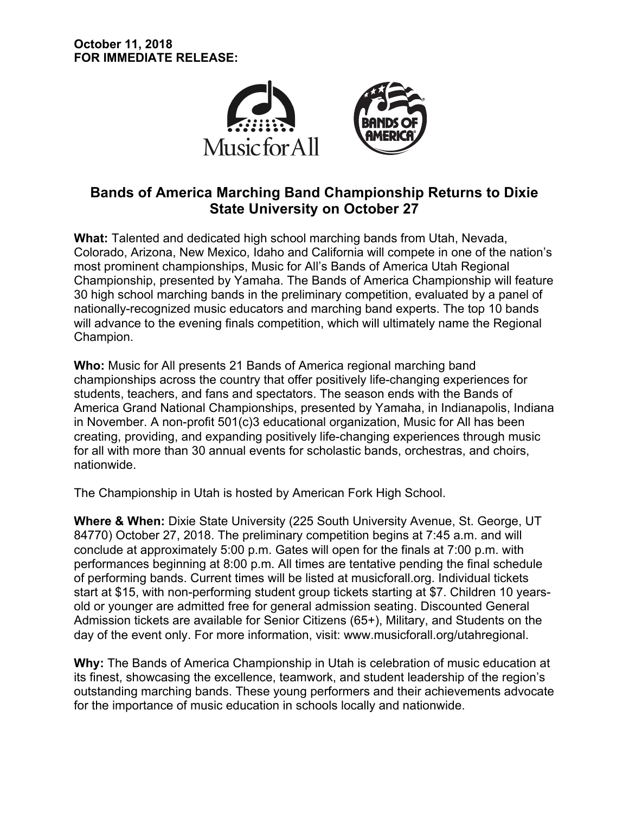

# **Bands of America Marching Band Championship Returns to Dixie State University on October 27**

**What:** Talented and dedicated high school marching bands from Utah, Nevada, Colorado, Arizona, New Mexico, Idaho and California will compete in one of the nation's most prominent championships, Music for All's Bands of America Utah Regional Championship, presented by Yamaha. The Bands of America Championship will feature 30 high school marching bands in the preliminary competition, evaluated by a panel of nationally-recognized music educators and marching band experts. The top 10 bands will advance to the evening finals competition, which will ultimately name the Regional Champion.

**Who:** Music for All presents 21 Bands of America regional marching band championships across the country that offer positively life-changing experiences for students, teachers, and fans and spectators. The season ends with the Bands of America Grand National Championships, presented by Yamaha, in Indianapolis, Indiana in November. A non-profit 501(c)3 educational organization, Music for All has been creating, providing, and expanding positively life-changing experiences through music for all with more than 30 annual events for scholastic bands, orchestras, and choirs, nationwide.

The Championship in Utah is hosted by American Fork High School.

**Where & When:** Dixie State University (225 South University Avenue, St. George, UT 84770) October 27, 2018. The preliminary competition begins at 7:45 a.m. and will conclude at approximately 5:00 p.m. Gates will open for the finals at 7:00 p.m. with performances beginning at 8:00 p.m. All times are tentative pending the final schedule of performing bands. Current times will be listed at musicforall.org. Individual tickets start at \$15, with non-performing student group tickets starting at \$7. Children 10 yearsold or younger are admitted free for general admission seating. Discounted General Admission tickets are available for Senior Citizens (65+), Military, and Students on the day of the event only. For more information, visit: www.musicforall.org/utahregional.

**Why:** The Bands of America Championship in Utah is celebration of music education at its finest, showcasing the excellence, teamwork, and student leadership of the region's outstanding marching bands. These young performers and their achievements advocate for the importance of music education in schools locally and nationwide.